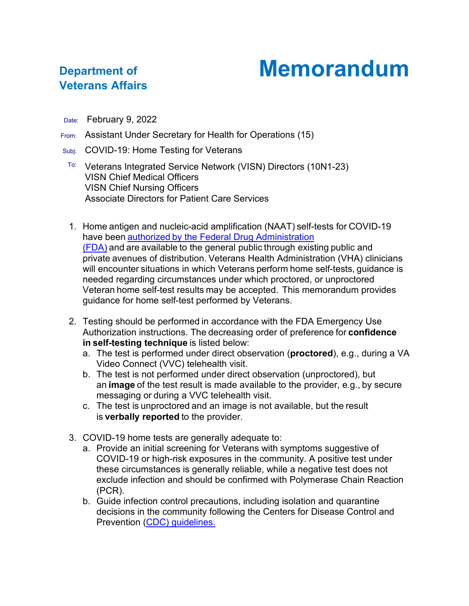## **Memorandum**

## **Department of Veterans Affairs**

- Date: February 9, 2022
- From: Assistant Under Secretary for Health for Operations (15)
- Subj: COVID-19: Home Testing for Veterans
	- ™ Veterans Integrated Service Network (VISN) Directors (10N1-23) VISN Chief Medical Officers VISN Chief Nursing Officers Associate Directors for Patient Care Services
	- 1. Home antigen and nucleic-acid amplification (NAAT) self-tests for COVID-19 have been authorized by [the Federal Drug Administration](https://www.fda.gov/medical-devices/coronavirus-disease-2019-covid-19-emergency-use-authorizations-medical-devices/in-vitro-diagnostics-euas-antigen-diagnostic-tests-sars-cov-2)  [\(FDA\)](https://www.fda.gov/medical-devices/coronavirus-disease-2019-covid-19-emergency-use-authorizations-medical-devices/in-vitro-diagnostics-euas-antigen-diagnostic-tests-sars-cov-2) and are available to the general public through existing public and private avenues of distribution. Veterans Health Administration (VHA) clinicians will encounter situations in which Veterans perform home self-tests, guidance is needed regarding circumstances under which proctored, or unproctored Veteran home self-test results may be accepted.  This memorandum provides guidance for home self-test performed by Veterans.
	- 2. Testing should be performed in accordance with the FDA Emergency Use Authorization instructions. The decreasing order of preference for **confidence in self-testing technique** is listed below:
		- a. The test is performed under direct observation (**proctored**), e.g., during a VA Video Connect (VVC) telehealth visit.
		- b. The test is not performed under direct observation (unproctored), but an **image** of the test result is made available to the provider, e.g., by secure messaging or during a VVC telehealth visit.
		- c. The test is unproctored and an image is not available, but the result is **verbally reported** to the provider.
	- 3. COVID-19 home tests are generally adequate to:
		- a. Provide an initial screening for Veterans with symptoms suggestive of COVID-19 or high-risk exposures in the community. A positive test under these circumstances is generally reliable, while a negative test does not exclude infection and should be confirmed with Polymerase Chain Reaction (PCR).
		- b. Guide infection control precautions, including isolation and quarantine decisions in the community following the Centers for Disease Control and Prevention (CDC) [guidelines.](https://www.cdc.gov/coronavirus/2019-ncov/your-health/quarantine-isolation.html)